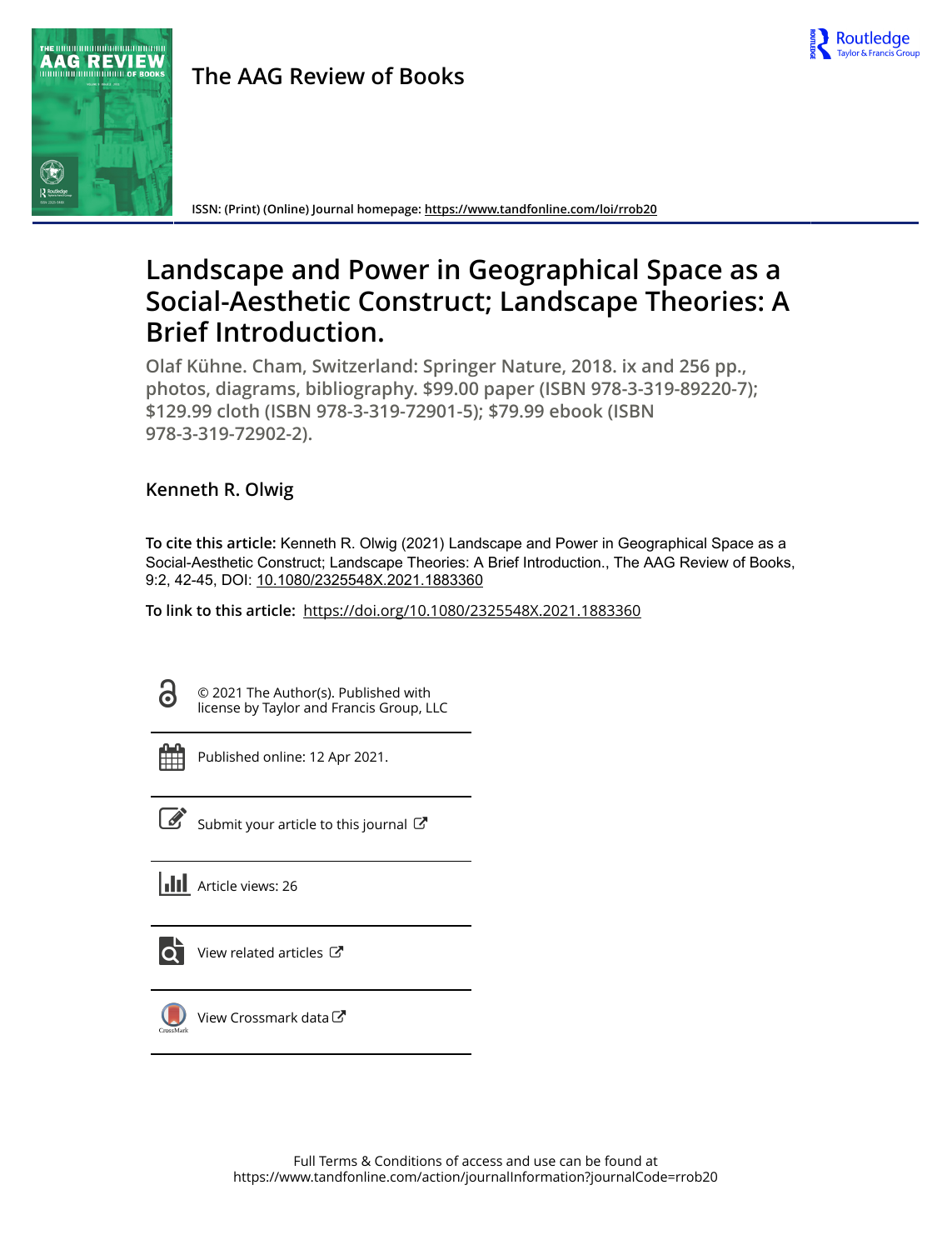

## **The AAG Review of Books**



**ISSN: (Print) (Online) Journal homepage:<https://www.tandfonline.com/loi/rrob20>**

# **Landscape and Power in Geographical Space as a Social-Aesthetic Construct; Landscape Theories: A Brief Introduction.**

**Olaf Kühne. Cham, Switzerland: Springer Nature, 2018. ix and 256 pp., photos, diagrams, bibliography. \$99.00 paper (ISBN 978-3-319-89220-7); \$129.99 cloth (ISBN 978-3-319-72901-5); \$79.99 ebook (ISBN 978-3-319-72902-2).**

### **Kenneth R. Olwig**

**To cite this article:** Kenneth R. Olwig (2021) Landscape and Power in Geographical Space as a Social-Aesthetic Construct; Landscape Theories: A Brief Introduction., The AAG Review of Books, 9:2, 42-45, DOI: [10.1080/2325548X.2021.1883360](https://www.tandfonline.com/action/showCitFormats?doi=10.1080/2325548X.2021.1883360)

**To link to this article:** <https://doi.org/10.1080/2325548X.2021.1883360>

G

© 2021 The Author(s). Published with license by Taylor and Francis Group, LLC

Published online: 12 Apr 2021.



 $\overline{\mathscr{L}}$  [Submit your article to this journal](https://www.tandfonline.com/action/authorSubmission?journalCode=rrob20&show=instructions)  $\mathbb{Z}$ 

**III** Article views: 26



[View related articles](https://www.tandfonline.com/doi/mlt/10.1080/2325548X.2021.1883360) C



[View Crossmark data](http://crossmark.crossref.org/dialog/?doi=10.1080/2325548X.2021.1883360&domain=pdf&date_stamp=2021-04-12)<sup>C</sup>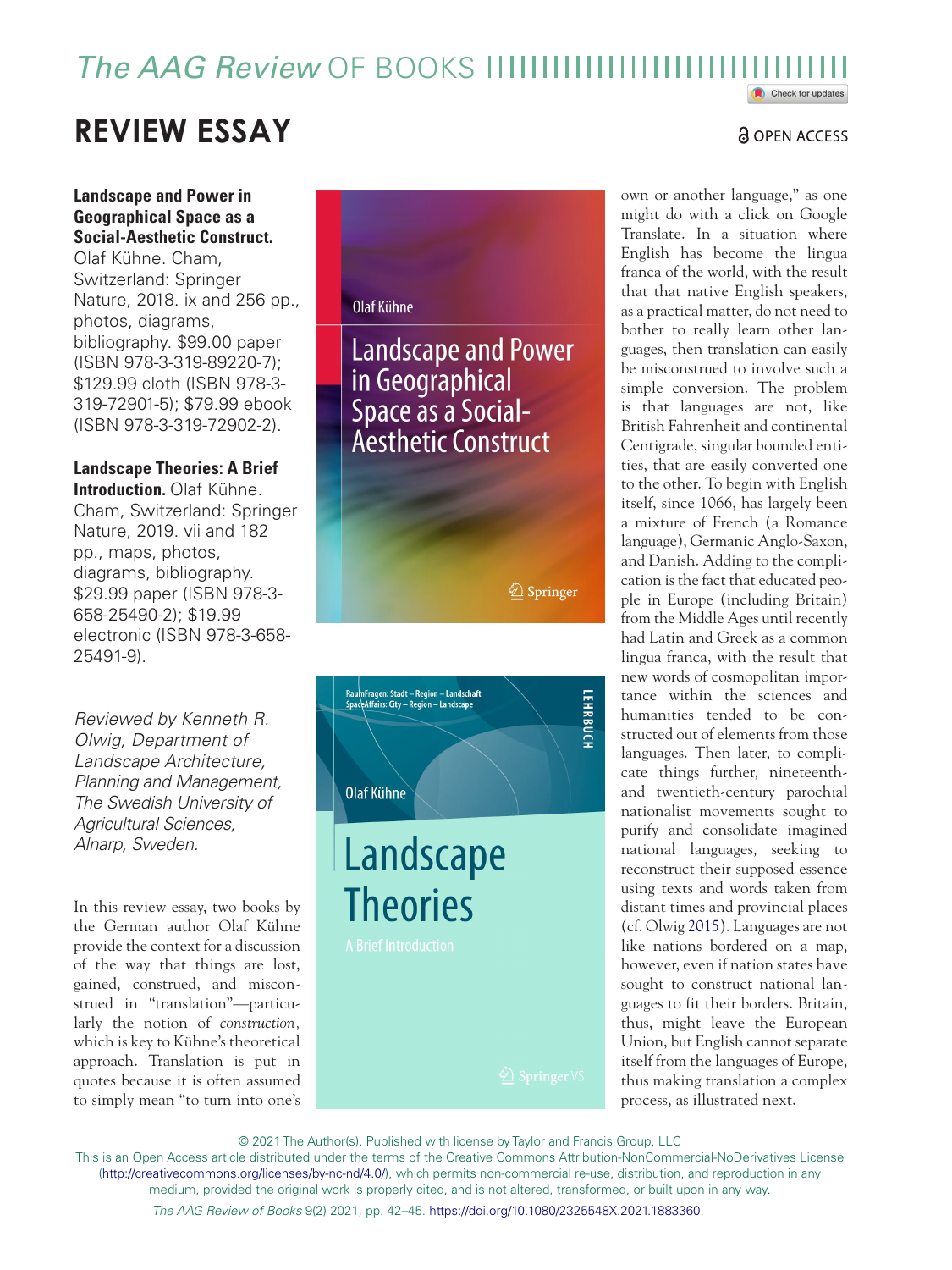### *The AAG Review* OF BOOKS Check for updates

# **REVIEW ESSAY**

### **Landscape and Power in Geographical Space as a Social-Aesthetic Construct.**

Olaf Kühne. Cham, Switzerland: Springer Nature, 2018. ix and 256 pp., photos, diagrams, bibliography. \$99.00 paper (ISBN 978-3-319-89220-7); \$129.99 cloth (ISBN 978-3- 319-72901-5); \$79.99 ebook (ISBN 978-3-319-72902-2).

**Landscape Theories: A Brief Introduction.** Olaf Kühne. Cham, Switzerland: Springer Nature, 2019. vii and 182 pp., maps, photos, diagrams, bibliography. \$29.99 paper (ISBN 978-3- 658-25490-2); \$19.99 electronic (ISBN 978-3-658- 25491-9).

*Reviewed by Kenneth R. Olwig, Department of Landscape Architecture, Planning and Management, The Swedish University of Agricultural Sciences, Alnarp, Sweden.*

In this review essay, two books by the German author Olaf Kühne provide the context for a discussion of the way that things are lost, gained, construed, and misconstrued in "translation"—particularly the notion of *construction,* which is key to Kühne's theoretical approach. Translation is put in quotes because it is often assumed to simply mean "to turn into one's

### Olaf Kühne

**Landscape and Power** in Geographical Space as a Social-<br>Aesthetic Construct

<span id="page-1-0"></span> $\hat{Z}$  Springer



own or another language," as one might do with a click on Google Translate. In a situation where English has become the lingua franca of the world, with the result that that native English speakers, as a practical matter, do not need to bother to really learn other languages, then translation can easily be misconstrued to involve such a simple conversion. The problem is that languages are not, like British Fahrenheit and continental Centigrade, singular bounded entities, that are easily converted one to the other. To begin with English itself, since 1066, has largely been a mixture of French (a Romance language), Germanic Anglo-Saxon, and Danish. Adding to the complication is the fact that educated people in Europe (including Britain) from the Middle Ages until recently had Latin and Greek as a common lingua franca, with the result that new words of cosmopolitan importance within the sciences and humanities tended to be constructed out of elements from those languages. Then later, to complicate things further, nineteenthand twentieth-century parochial nationalist movements sought to purify and consolidate imagined national languages, seeking to reconstruct their supposed essence using texts and words taken from distant times and provincial places (cf. Olwig [2015](#page-4-0)). Languages are not like nations bordered on a map, however, even if nation states have sought to construct national languages to fit their borders. Britain, thus, might leave the European Union, but English cannot separate itself from the languages of Europe, thus making translation a complex process, as illustrated next.

© 2021 The Author(s). Published with license by Taylor and Francis Group, LLC

*The AAG Review of Books* 9(2) 2021, pp. 42–45. <https://doi.org/10.1080/2325548X.2021.1883360>. This is an Open Access article distributed under the terms of the Creative Commons Attribution-NonCommercial-NoDerivatives License (<http://creativecommons.org/licenses/by-nc-nd/4.0/>), which permits non-commercial re-use, distribution, and reproduction in any medium, provided the original work is properly cited, and is not altered, transformed, or built upon in any way.

### <u>ခါ OPEN ACCESS</u>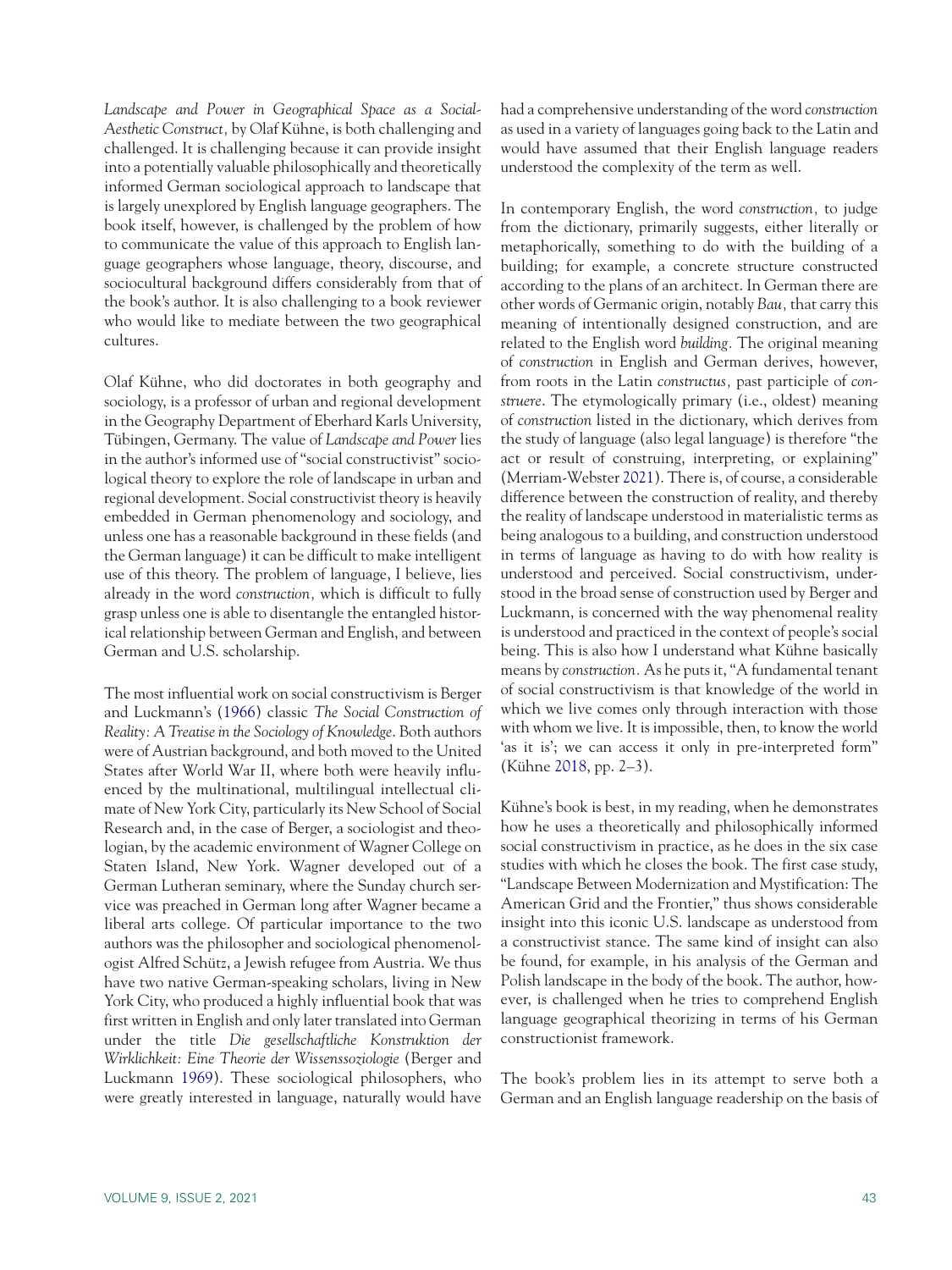*Landscape and Power in Geographical Space as a Social-Aesthetic Construct,* by Olaf Kühne, is both challenging and challenged. It is challenging because it can provide insight into a potentially valuable philosophically and theoretically informed German sociological approach to landscape that is largely unexplored by English language geographers. The book itself, however, is challenged by the problem of how to communicate the value of this approach to English language geographers whose language, theory, discourse, and sociocultural background differs considerably from that of the book's author. It is also challenging to a book reviewer who would like to mediate between the two geographical cultures.

Olaf Kühne, who did doctorates in both geography and sociology, is a professor of urban and regional development in the Geography Department of Eberhard Karls University, Tübingen, Germany. The value of *Landscape and Power* lies in the author's informed use of "social constructivist" sociological theory to explore the role of landscape in urban and regional development. Social constructivist theory is heavily embedded in German phenomenology and sociology, and unless one has a reasonable background in these fields (and the German language) it can be difficult to make intelligent use of this theory. The problem of language, I believe, lies already in the word *construction,* which is difficult to fully grasp unless one is able to disentangle the entangled historical relationship between German and English, and between German and U.S. scholarship.

<span id="page-2-1"></span><span id="page-2-0"></span>The most influential work on social constructivism is Berger and Luckmann's [\(1966](#page-4-1)) classic *The Social Construction of Reality: A Treatise in the Sociology of Knowledge*. Both authors were of Austrian background, and both moved to the United States after World War II, where both were heavily influenced by the multinational, multilingual intellectual climate of New York City, particularly its New School of Social Research and, in the case of Berger, a sociologist and theologian, by the academic environment of Wagner College on Staten Island, New York. Wagner developed out of a German Lutheran seminary, where the Sunday church service was preached in German long after Wagner became a liberal arts college. Of particular importance to the two authors was the philosopher and sociological phenomenologist Alfred Schütz, a Jewish refugee from Austria. We thus have two native German-speaking scholars, living in New York City, who produced a highly influential book that was first written in English and only later translated into German under the title *Die gesellschaftliche Konstruktion der Wirklichkeit: Eine Theorie der Wissenssoziologie* (Berger and Luckmann [1969\)](#page-4-2). These sociological philosophers, who were greatly interested in language, naturally would have had a comprehensive understanding of the word *construction* as used in a variety of languages going back to the Latin and would have assumed that their English language readers understood the complexity of the term as well.

<span id="page-2-3"></span>In contemporary English, the word *construction,* to judge from the dictionary, primarily suggests, either literally or metaphorically, something to do with the building of a building; for example, a concrete structure constructed according to the plans of an architect. In German there are other words of Germanic origin, notably *Bau,* that carry this meaning of intentionally designed construction, and are related to the English word *building.* The original meaning of *construction* in English and German derives, however, from roots in the Latin *constructus,* past participle of *construere*. The etymologically primary (i.e., oldest) meaning of *construction* listed in the dictionary, which derives from the study of language (also legal language) is therefore "the act or result of construing, interpreting, or explaining" (Merriam-Webster [2021](#page-4-3)). There is, of course, a considerable difference between the construction of reality, and thereby the reality of landscape understood in materialistic terms as being analogous to a building, and construction understood in terms of language as having to do with how reality is understood and perceived. Social constructivism, understood in the broad sense of construction used by Berger and Luckmann, is concerned with the way phenomenal reality is understood and practiced in the context of people's social being. This is also how I understand what Kühne basically means by *construction.* As he puts it, "A fundamental tenant of social constructivism is that knowledge of the world in which we live comes only through interaction with those with whom we live. It is impossible, then, to know the world 'as it is'; we can access it only in pre-interpreted form" (Kühne [2018](#page-4-4), pp. 2–3).

<span id="page-2-2"></span>Kühne's book is best, in my reading, when he demonstrates how he uses a theoretically and philosophically informed social constructivism in practice, as he does in the six case studies with which he closes the book. The first case study, "Landscape Between Modernization and Mystification: The American Grid and the Frontier," thus shows considerable insight into this iconic U.S. landscape as understood from a constructivist stance. The same kind of insight can also be found, for example, in his analysis of the German and Polish landscape in the body of the book. The author, however, is challenged when he tries to comprehend English language geographical theorizing in terms of his German constructionist framework.

The book's problem lies in its attempt to serve both a German and an English language readership on the basis of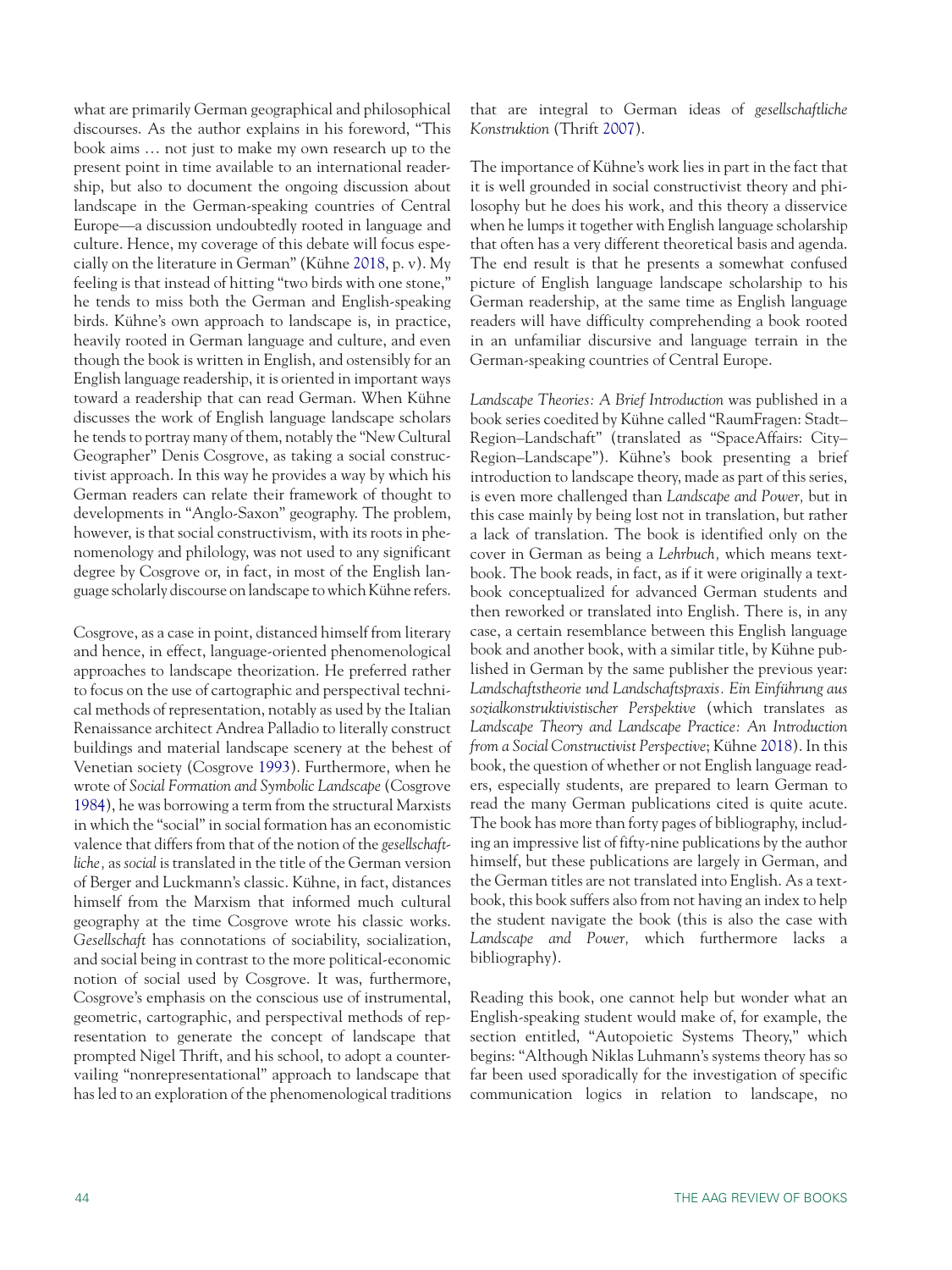what are primarily German geographical and philosophical discourses. As the author explains in his foreword, "This book aims … not just to make my own research up to the present point in time available to an international readership, but also to document the ongoing discussion about landscape in the German-speaking countries of Central Europe—a discussion undoubtedly rooted in language and culture. Hence, my coverage of this debate will focus especially on the literature in German" (Kühne [2018](#page-4-4), p. v). My feeling is that instead of hitting "two birds with one stone," he tends to miss both the German and English-speaking birds. Kühne's own approach to landscape is, in practice, heavily rooted in German language and culture, and even though the book is written in English, and ostensibly for an English language readership, it is oriented in important ways toward a readership that can read German. When Kühne discusses the work of English language landscape scholars he tends to portray many of them, notably the "New Cultural Geographer" Denis Cosgrove, as taking a social constructivist approach. In this way he provides a way by which his German readers can relate their framework of thought to developments in "Anglo-Saxon" geography. The problem, however, is that social constructivism, with its roots in phenomenology and philology, was not used to any significant degree by Cosgrove or, in fact, in most of the English language scholarly discourse on landscape to which Kühne refers.

<span id="page-3-1"></span><span id="page-3-0"></span>Cosgrove, as a case in point, distanced himself from literary and hence, in effect, language-oriented phenomenological approaches to landscape theorization. He preferred rather to focus on the use of cartographic and perspectival technical methods of representation, notably as used by the Italian Renaissance architect Andrea Palladio to literally construct buildings and material landscape scenery at the behest of Venetian society (Cosgrove [1993](#page-4-5)). Furthermore, when he wrote of *Social Formation and Symbolic Landscape* (Cosgrove [1984\)](#page-4-6), he was borrowing a term from the structural Marxists in which the "social" in social formation has an economistic valence that differs from that of the notion of the *gesellschaftliche,* as *social* is translated in the title of the German version of Berger and Luckmann's classic. Kühne, in fact, distances himself from the Marxism that informed much cultural geography at the time Cosgrove wrote his classic works. *Gesellschaft* has connotations of sociability, socialization, and social being in contrast to the more political-economic notion of social used by Cosgrove. It was, furthermore, Cosgrove's emphasis on the conscious use of instrumental, geometric, cartographic, and perspectival methods of representation to generate the concept of landscape that prompted Nigel Thrift, and his school, to adopt a countervailing "nonrepresentational" approach to landscape that has led to an exploration of the phenomenological traditions <span id="page-3-2"></span>that are integral to German ideas of *gesellschaftliche Konstruktion* (Thrift [2007](#page-4-7)).

The importance of Kühne's work lies in part in the fact that it is well grounded in social constructivist theory and philosophy but he does his work, and this theory a disservice when he lumps it together with English language scholarship that often has a very different theoretical basis and agenda. The end result is that he presents a somewhat confused picture of English language landscape scholarship to his German readership, at the same time as English language readers will have difficulty comprehending a book rooted in an unfamiliar discursive and language terrain in the German-speaking countries of Central Europe.

*Landscape Theories: A Brief Introduction* was published in a book series coedited by Kühne called "RaumFragen: Stadt– Region–Landschaft" (translated as "SpaceAffairs: City– Region–Landscape"). Kühne's book presenting a brief introduction to landscape theory, made as part of this series, is even more challenged than *Landscape and Power,* but in this case mainly by being lost not in translation, but rather a lack of translation. The book is identified only on the cover in German as being a *Lehrbuch,* which means textbook. The book reads, in fact, as if it were originally a textbook conceptualized for advanced German students and then reworked or translated into English. There is, in any case, a certain resemblance between this English language book and another book, with a similar title, by Kühne published in German by the same publisher the previous year: *Landschaftstheorie und Landschaftspraxis. Ein Einführung aus sozialkonstruktivistischer Perspektive* (which translates as *Landscape Theory and Landscape Practice: An Introduction from a Social Constructivist Perspective*; Kühne [2018](#page-4-8)). In this book, the question of whether or not English language readers, especially students, are prepared to learn German to read the many German publications cited is quite acute. The book has more than forty pages of bibliography, including an impressive list of fifty-nine publications by the author himself, but these publications are largely in German, and the German titles are not translated into English. As a textbook, this book suffers also from not having an index to help the student navigate the book (this is also the case with *Landscape and Power,* which furthermore lacks a bibliography).

Reading this book, one cannot help but wonder what an English-speaking student would make of, for example, the section entitled, "Autopoietic Systems Theory," which begins: "Although Niklas Luhmann's systems theory has so far been used sporadically for the investigation of specific communication logics in relation to landscape, no